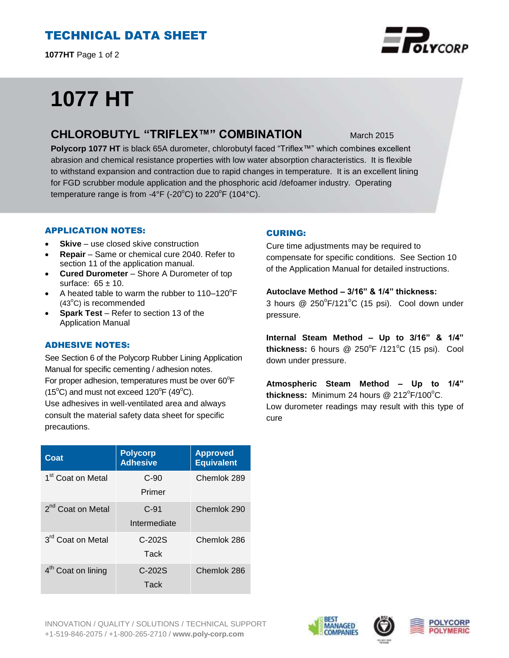# TECHNICAL DATA SHEET

**1077HT** Page 1 of 2

# **1077 HT**

## **CHLOROBUTYL "TRIFLEX™" COMBINATION** March 2015

**Polycorp 1077 HT** is black 65A durometer, chlorobutyl faced "Triflex™" which combines excellent abrasion and chemical resistance properties with low water absorption characteristics. It is flexible to withstand expansion and contraction due to rapid changes in temperature. It is an excellent lining for FGD scrubber module application and the phosphoric acid /defoamer industry. Operating temperature range is from -4°F (-20°C) to 220°F (104°C).

## APPLICATION NOTES:

- **Skive** use closed skive construction
- **Repair**  Same or chemical cure 2040. Refer to section 11 of the application manual.
- **Cured Durometer**  Shore A Durometer of top surface:  $65 \pm 10$ .
- A heated table to warm the rubber to  $110-120^{\circ}F$  $(43^{\circ}C)$  is recommended
- **Spark Test** Refer to section 13 of the Application Manual

## ADHESIVE NOTES:

See Section 6 of the Polycorp Rubber Lining Application Manual for specific cementing / adhesion notes. For proper adhesion, temperatures must be over  $60^{\circ}$ F  $(15^{\circ}C)$  and must not exceed  $120^{\circ}F(49^{\circ}C)$ . Use adhesives in well-ventilated area and always

consult the material safety data sheet for specific precautions.

| Coat                           | <b>Polycorp</b><br><b>Adhesive</b> | <b>Approved</b><br><b>Equivalent</b> |
|--------------------------------|------------------------------------|--------------------------------------|
| 1 <sup>st</sup> Coat on Metal  | $C-90$<br>Primer                   | Chemlok 289                          |
| 2 <sup>nd</sup> Coat on Metal  | $C-91$<br>Intermediate             | Chemlok 290                          |
| 3 <sup>rd</sup> Coat on Metal  | $C-202S$<br>Tack                   | Chemlok 286                          |
| 4 <sup>th</sup> Coat on lining | $C-202S$<br>Tack                   | Chemlok 286                          |

## CURING:

Cure time adjustments may be required to compensate for specific conditions. See Section 10 of the Application Manual for detailed instructions.

## **Autoclave Method – 3/16" & 1/4" thickness:**

3 hours  $@$  250 $^{\circ}$ F/121 $^{\circ}$ C (15 psi). Cool down under pressure.

**Internal Steam Method – Up to 3/16" & 1/4"** thickness: 6 hours @ 250°F /121°C (15 psi). Cool down under pressure.

**Atmospheric Steam Method – Up to 1/4"** thickness: Minimum 24 hours @ 212°F/100°C. Low durometer readings may result with this type of cure